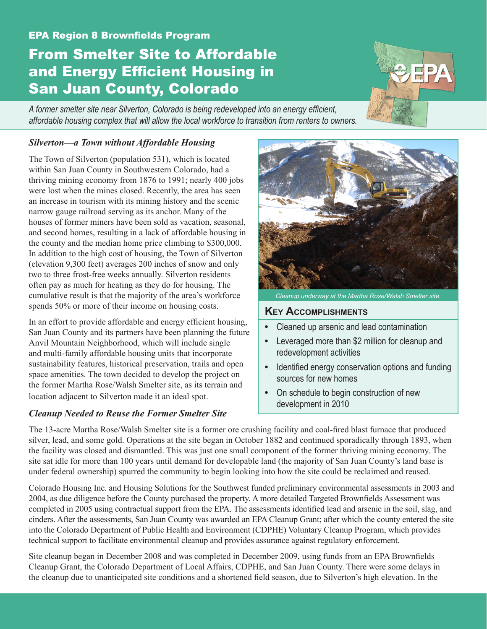#### EPA Region 8 Brownfields Program

# From Smelter Site to Affordable and Energy Efficient Housing in San Juan County, Colorado

*A former smelter site near Silverton, Colorado is being redeveloped into an energy efficient, affordable housing complex that will allow the local workforce to transition from renters to owners.*

#### *Silverton—a Town without Affordable Housing*

The Town of Silverton (population 531), which is located within San Juan County in Southwestern Colorado, had a thriving mining economy from 1876 to 1991; nearly 400 jobs were lost when the mines closed. Recently, the area has seen an increase in tourism with its mining history and the scenic narrow gauge railroad serving as its anchor. Many of the houses of former miners have been sold as vacation, seasonal, and second homes, resulting in a lack of affordable housing in the county and the median home price climbing to \$300,000. In addition to the high cost of housing, the Town of Silverton (elevation 9,300 feet) averages 200 inches of snow and only two to three frost-free weeks annually. Silverton residents often pay as much for heating as they do for housing. The cumulative result is that the majority of the area's workforce spends 50% or more of their income on housing costs.

In an effort to provide affordable and energy efficient housing, San Juan County and its partners have been planning the future Anvil Mountain Neighborhood, which will include single and multi-family affordable housing units that incorporate sustainability features, historical preservation, trails and open space amenities. The town decided to develop the project on the former Martha Rose/Walsh Smelter site, as its terrain and location adjacent to Silverton made it an ideal spot.

#### *Cleanup Needed to Reuse the Former Smelter Site*

*Cleanup underway at the Martha Rose/Walsh Smelter site.*

## **Key Accomplishments**

- **•** Cleaned up arsenic and lead contamination
- **•**  Leveraged more than \$2 million for cleanup and redevelopment activities
- **•**  Identified energy conservation options and funding sources for new homes
- **•**  On schedule to begin construction of new development in 2010

The 13-acre Martha Rose/Walsh Smelter site is a former ore crushing facility and coal-fired blast furnace that produced silver, lead, and some gold. Operations at the site began in October 1882 and continued sporadically through 1893, when the facility was closed and dismantled. This was just one small component of the former thriving mining economy. The site sat idle for more than 100 years until demand for developable land (the majority of San Juan County's land base is under federal ownership) spurred the community to begin looking into how the site could be reclaimed and reused.

Colorado Housing Inc. and Housing Solutions for the Southwest funded preliminary environmental assessments in 2003 and 2004, as due diligence before the County purchased the property. A more detailed Targeted Brownfields Assessment was completed in 2005 using contractual support from the EPA. The assessments identified lead and arsenic in the soil, slag, and cinders. After the assessments, San Juan County was awarded an EPA Cleanup Grant; after which the county entered the site into the Colorado Department of Public Health and Environment (CDPHE) Voluntary Cleanup Program, which provides technical support to facilitate environmental cleanup and provides assurance against regulatory enforcement.

Site cleanup began in December 2008 and was completed in December 2009, using funds from an EPA Brownfields Cleanup Grant, the Colorado Department of Local Affairs, CDPHE, and San Juan County. There were some delays in the cleanup due to unanticipated site conditions and a shortened field season, due to Silverton's high elevation. In the